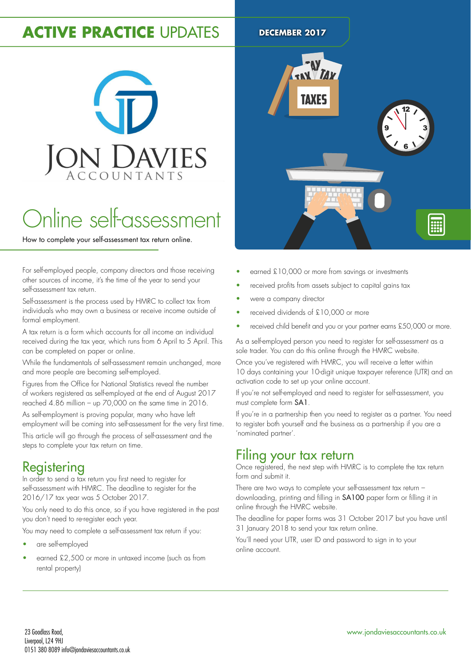# **ACTIVE PRACTICE UPDATES DECEMBER 2017**

# **ON DAVIES**

# Online self-assessment

How to complete your self-assessment tax return online.

For self-employed people, company directors and those receiving other sources of income, it's the time of the year to send your self-assessment tax return.

Self-assessment is the process used by HMRC to collect tax from individuals who may own a business or receive income outside of formal employment.

A tax return is a form which accounts for all income an individual received during the tax year, which runs from 6 April to 5 April. This can be completed on paper or online.

While the fundamentals of self-assessment remain unchanged, more and more people are becoming self-employed.

Figures from the Ofice for National Statistics reveal the number of workers registered as self-employed at the end of August 2017 reached 4.86 million – up 70,000 on the same time in 2016.

As self-employment is proving popular, many who have left employment will be coming into self-assessment for the very first time.

This article will go through the process of self-assessment and the steps to complete your tax return on time.

# **Registering**

In order to send a tax return you first need to register for self-assessment with HMRC. The deadline to register for the 2016/17 tax year was 5 October 2017.

You only need to do this once, so if you have registered in the past you don't need to re-register each year.

You may need to complete a self-assessment tax return if you:

- are self-employed
- earned £2,500 or more in untaxed income (such as from rental property)



- earned £10,000 or more from savings or investments
- received profits from assets subject to capital gains tax
- were a company director
- received dividends of £10,000 or more
- received child benefit and you or your partner earns £50,000 or more.

As a self-employed person you need to register for self-assessment as a sole trader. You can do this online through the HMRC website.

Once you've registered with HMRC, you will receive a letter within 10 days containing your 10-digit unique taxpayer reference (UTR) and an activation code to set up your online account.

If you're not self-employed and need to register for self-assessment, you must complete form SA1.

If you're in a partnership then you need to register as a partner. You need to register both yourself and the business as a partnership if you are a 'nominated partner'.

# Filing your tax return

Once registered, the next step with HMRC is to complete the tax return form and submit it.

There are two ways to complete your self-assessment tax return – downloading, printing and illing in SA100 paper form or illing it in online through the HMRC website.

The deadline for paper forms was 31 October 2017 but you have until 31 January 2018 to send your tax return online.

You'll need your UTR, user ID and password to sign in to your online account.